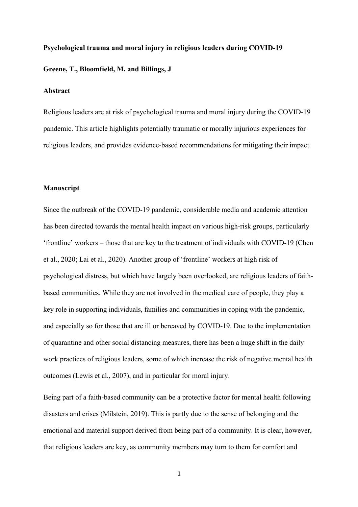# **Psychological trauma and moral injury in religious leaders during COVID-19 Greene, T., Bloomfield, M. and Billings, J**

## **Abstract**

Religious leaders are at risk of psychological trauma and moral injury during the COVID-19 pandemic. This article highlights potentially traumatic or morally injurious experiences for religious leaders, and provides evidence-based recommendations for mitigating their impact.

# **Manuscript**

Since the outbreak of the COVID-19 pandemic, considerable media and academic attention has been directed towards the mental health impact on various high-risk groups, particularly 'frontline' workers – those that are key to the treatment of individuals with COVID-19 (Chen et al., 2020; Lai et al., 2020). Another group of 'frontline' workers at high risk of psychological distress, but which have largely been overlooked, are religious leaders of faithbased communities. While they are not involved in the medical care of people, they play a key role in supporting individuals, families and communities in coping with the pandemic, and especially so for those that are ill or bereaved by COVID-19. Due to the implementation of quarantine and other social distancing measures, there has been a huge shift in the daily work practices of religious leaders, some of which increase the risk of negative mental health outcomes (Lewis et al., 2007), and in particular for moral injury.

Being part of a faith-based community can be a protective factor for mental health following disasters and crises (Milstein, 2019). This is partly due to the sense of belonging and the emotional and material support derived from being part of a community. It is clear, however, that religious leaders are key, as community members may turn to them for comfort and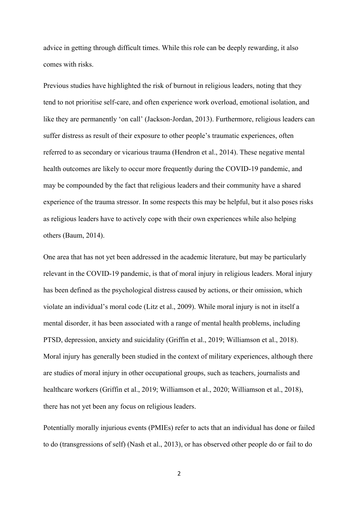advice in getting through difficult times. While this role can be deeply rewarding, it also comes with risks.

Previous studies have highlighted the risk of burnout in religious leaders, noting that they tend to not prioritise self-care, and often experience work overload, emotional isolation, and like they are permanently 'on call' (Jackson-Jordan, 2013). Furthermore, religious leaders can suffer distress as result of their exposure to other people's traumatic experiences, often referred to as secondary or vicarious trauma (Hendron et al., 2014). These negative mental health outcomes are likely to occur more frequently during the COVID-19 pandemic, and may be compounded by the fact that religious leaders and their community have a shared experience of the trauma stressor. In some respects this may be helpful, but it also poses risks as religious leaders have to actively cope with their own experiences while also helping others (Baum, 2014).

One area that has not yet been addressed in the academic literature, but may be particularly relevant in the COVID-19 pandemic, is that of moral injury in religious leaders. Moral injury has been defined as the psychological distress caused by actions, or their omission, which violate an individual's moral code (Litz et al., 2009). While moral injury is not in itself a mental disorder, it has been associated with a range of mental health problems, including PTSD, depression, anxiety and suicidality (Griffin et al., 2019; Williamson et al., 2018). Moral injury has generally been studied in the context of military experiences, although there are studies of moral injury in other occupational groups, such as teachers, journalists and healthcare workers (Griffin et al., 2019; Williamson et al., 2020; Williamson et al., 2018), there has not yet been any focus on religious leaders.

Potentially morally injurious events (PMIEs) refer to acts that an individual has done or failed to do (transgressions of self) (Nash et al., 2013), or has observed other people do or fail to do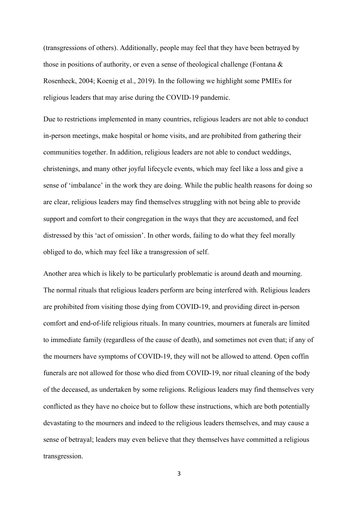(transgressions of others). Additionally, people may feel that they have been betrayed by those in positions of authority, or even a sense of theological challenge (Fontana & Rosenheck, 2004; Koenig et al., 2019). In the following we highlight some PMIEs for religious leaders that may arise during the COVID-19 pandemic.

Due to restrictions implemented in many countries, religious leaders are not able to conduct in-person meetings, make hospital or home visits, and are prohibited from gathering their communities together. In addition, religious leaders are not able to conduct weddings, christenings, and many other joyful lifecycle events, which may feel like a loss and give a sense of 'imbalance' in the work they are doing. While the public health reasons for doing so are clear, religious leaders may find themselves struggling with not being able to provide support and comfort to their congregation in the ways that they are accustomed, and feel distressed by this 'act of omission'. In other words, failing to do what they feel morally obliged to do, which may feel like a transgression of self.

Another area which is likely to be particularly problematic is around death and mourning. The normal rituals that religious leaders perform are being interfered with. Religious leaders are prohibited from visiting those dying from COVID-19, and providing direct in-person comfort and end-of-life religious rituals. In many countries, mourners at funerals are limited to immediate family (regardless of the cause of death), and sometimes not even that; if any of the mourners have symptoms of COVID-19, they will not be allowed to attend. Open coffin funerals are not allowed for those who died from COVID-19, nor ritual cleaning of the body of the deceased, as undertaken by some religions. Religious leaders may find themselves very conflicted as they have no choice but to follow these instructions, which are both potentially devastating to the mourners and indeed to the religious leaders themselves, and may cause a sense of betrayal; leaders may even believe that they themselves have committed a religious transgression.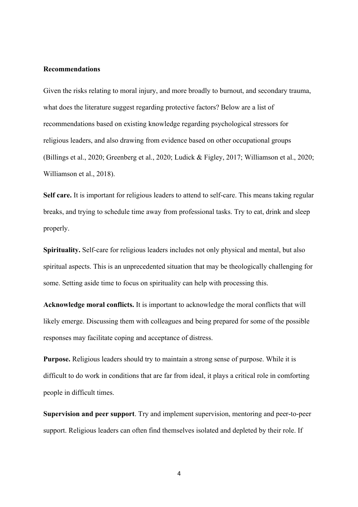#### **Recommendations**

Given the risks relating to moral injury, and more broadly to burnout, and secondary trauma, what does the literature suggest regarding protective factors? Below are a list of recommendations based on existing knowledge regarding psychological stressors for religious leaders, and also drawing from evidence based on other occupational groups (Billings et al., 2020; Greenberg et al., 2020; Ludick & Figley, 2017; Williamson et al., 2020; Williamson et al., 2018).

**Self care.** It is important for religious leaders to attend to self-care. This means taking regular breaks, and trying to schedule time away from professional tasks. Try to eat, drink and sleep properly.

**Spirituality.** Self-care for religious leaders includes not only physical and mental, but also spiritual aspects. This is an unprecedented situation that may be theologically challenging for some. Setting aside time to focus on spirituality can help with processing this.

**Acknowledge moral conflicts.** It is important to acknowledge the moral conflicts that will likely emerge. Discussing them with colleagues and being prepared for some of the possible responses may facilitate coping and acceptance of distress.

**Purpose.** Religious leaders should try to maintain a strong sense of purpose. While it is difficult to do work in conditions that are far from ideal, it plays a critical role in comforting people in difficult times.

**Supervision and peer support**. Try and implement supervision, mentoring and peer-to-peer support. Religious leaders can often find themselves isolated and depleted by their role. If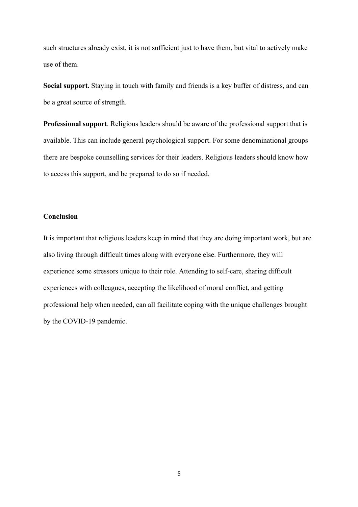such structures already exist, it is not sufficient just to have them, but vital to actively make use of them.

**Social support.** Staying in touch with family and friends is a key buffer of distress, and can be a great source of strength.

**Professional support**. Religious leaders should be aware of the professional support that is available. This can include general psychological support. For some denominational groups there are bespoke counselling services for their leaders. Religious leaders should know how to access this support, and be prepared to do so if needed.

# **Conclusion**

It is important that religious leaders keep in mind that they are doing important work, but are also living through difficult times along with everyone else. Furthermore, they will experience some stressors unique to their role. Attending to self-care, sharing difficult experiences with colleagues, accepting the likelihood of moral conflict, and getting professional help when needed, can all facilitate coping with the unique challenges brought by the COVID-19 pandemic.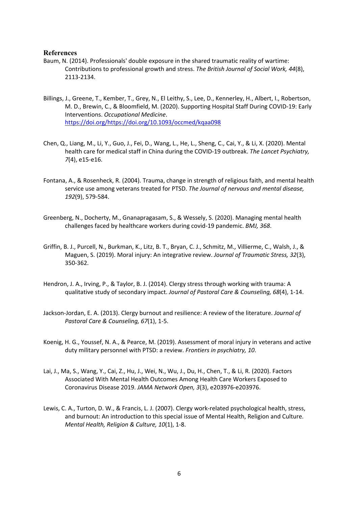# **References**

- Baum, N. (2014). Professionals' double exposure in the shared traumatic reality of wartime: Contributions to professional growth and stress. *The British Journal of Social Work, 44*(8), 2113-2134.
- Billings, J., Greene, T., Kember, T., Grey, N., El Leithy, S., Lee, D., Kennerley, H., Albert, I., Robertson, M. D., Brewin, C., & Bloomfield, M. (2020). Supporting Hospital Staff During COVID-19: Early Interventions. *Occupational Medicine*. https://doi.org/https://doi.org/10.1093/occmed/kqaa098
- Chen, Q., Liang, M., Li, Y., Guo, J., Fei, D., Wang, L., He, L., Sheng, C., Cai, Y., & Li, X. (2020). Mental health care for medical staff in China during the COVID-19 outbreak. *The Lancet Psychiatry, 7*(4), e15-e16.
- Fontana, A., & Rosenheck, R. (2004). Trauma, change in strength of religious faith, and mental health service use among veterans treated for PTSD. *The Journal of nervous and mental disease, 192*(9), 579-584.
- Greenberg, N., Docherty, M., Gnanapragasam, S., & Wessely, S. (2020). Managing mental health challenges faced by healthcare workers during covid-19 pandemic. *BMJ, 368*.
- Griffin, B. J., Purcell, N., Burkman, K., Litz, B. T., Bryan, C. J., Schmitz, M., Villierme, C., Walsh, J., & Maguen, S. (2019). Moral injury: An integrative review. *Journal of Traumatic Stress, 32*(3), 350-362.
- Hendron, J. A., Irving, P., & Taylor, B. J. (2014). Clergy stress through working with trauma: A qualitative study of secondary impact. *Journal of Pastoral Care & Counseling, 68*(4), 1-14.
- Jackson-Jordan, E. A. (2013). Clergy burnout and resilience: A review of the literature. *Journal of Pastoral Care & Counseling, 67*(1), 1-5.
- Koenig, H. G., Youssef, N. A., & Pearce, M. (2019). Assessment of moral injury in veterans and active duty military personnel with PTSD: a review. *Frontiers in psychiatry, 10*.
- Lai, J., Ma, S., Wang, Y., Cai, Z., Hu, J., Wei, N., Wu, J., Du, H., Chen, T., & Li, R. (2020). Factors Associated With Mental Health Outcomes Among Health Care Workers Exposed to Coronavirus Disease 2019. *JAMA Network Open, 3*(3), e203976-e203976.
- Lewis, C. A., Turton, D. W., & Francis, L. J. (2007). Clergy work-related psychological health, stress, and burnout: An introduction to this special issue of Mental Health, Religion and Culture. *Mental Health, Religion & Culture, 10*(1), 1-8.